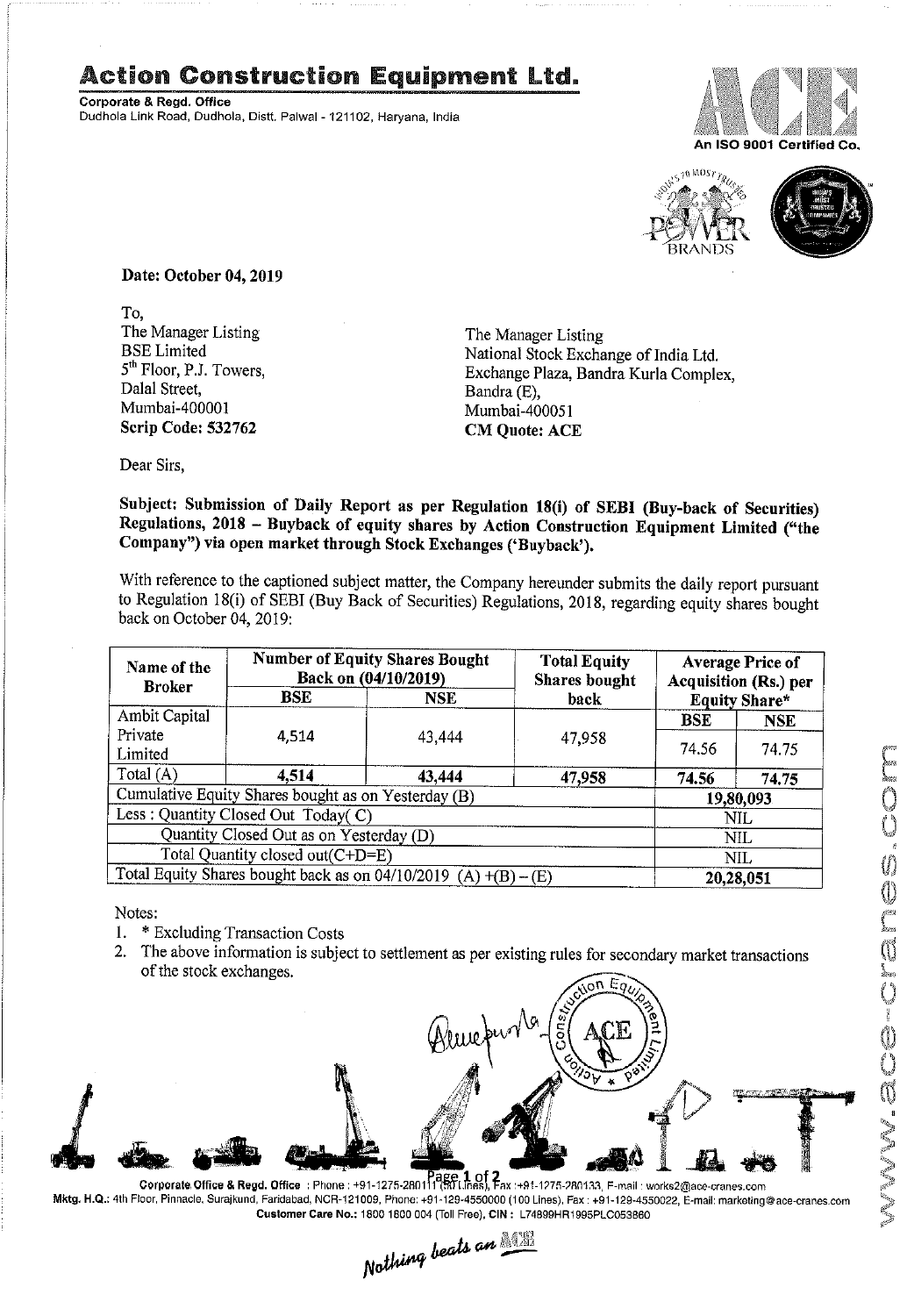## Action Construction Equipment Ltd.

Corporate & Regd. Office Dudhola Link Road, Dudhola, Distt, PalwaI-121102, Haryana, India





Date: October 04, 2019

To, The Manager Listing BSE Limited 5<sup>th</sup> Floor, P.J. Towers, Dalal Street, Mumbai-40000] Scrip Code: 532762

The Manager Listing National Stock Exchange of India Ltd. Exchange Plaza, Bandra Kurla Complex, Bandra (E), Mumbai-400051 CM Quote: ACE

Dear Sirs,

Subject: Submission of Daily Report as per Regulation 18(i) of SEBI (Buy-back of Securities) Regulations, 2018 – Buyback of equity shares by Action Construction Equipment Limited ("the<br>Company") its case was held to the NGC the CONSTRUCTION Construction Equipment Limited ("the Company") via open market through Stock Exchanges ('Buyback').

With reference to the captioned subject matter, the Company hereunder submits the daily report pursuant to Regulation 18(i) of SEBI (Buy Back of Securities) Regulations, 2018, regarding equity shares bought back on October 04, 2019:

| Name of the<br><b>Broker</b>                                      | <b>Number of Equity Shares Bought</b><br>Back on (04/10/2019) |            | <b>Total Equity</b><br><b>Shares</b> bought | <b>Average Price of</b><br><b>Acquisition (Rs.) per</b> |            |  |
|-------------------------------------------------------------------|---------------------------------------------------------------|------------|---------------------------------------------|---------------------------------------------------------|------------|--|
|                                                                   | BSE                                                           | <b>NSE</b> | back                                        | <b>Equity Share*</b>                                    |            |  |
| Ambit Capital                                                     |                                                               |            |                                             | <b>BSE</b>                                              | <b>NSE</b> |  |
| Private<br>Limited                                                | 4,514                                                         | 43,444     | 47,958                                      | 74.56                                                   | 74.75      |  |
| Total (A)                                                         | 4,514                                                         | 43,444     | 47,958                                      | 74.56                                                   | 74.75      |  |
| Cumulative Equity Shares bought as on Yesterday (B)               |                                                               |            |                                             |                                                         | 19,80,093  |  |
| Less: Quantity Closed Out Today(C)                                |                                                               |            |                                             | <b>NIL</b>                                              |            |  |
| Quantity Closed Out as on Yesterday (D)                           |                                                               |            |                                             |                                                         | <b>NIL</b> |  |
| Total Quantity closed out(C+D=E)                                  |                                                               |            |                                             |                                                         | NIL        |  |
| Total Equity Shares bought back as on $04/10/2019$ (A) +(B) – (E) |                                                               |            |                                             | 20,28,051                                               |            |  |

Notes :

- 1. \* Excluding Transaction Costs
- 2. The above information is subject to settlement as per existing rules for secondary market transactions of the stock exchanges.



Corporate Office & Regd. Office :Phone:+91-1275-2801113, Ensites), Eax :+91-1275-280133, F-mail : works2@ace-cranes.com Mktg. H.Q.: 4th Floor, Pinnacle, Surajkund, Faridabad, NCR-121009, Phone: +91-129-4550000 (100 Lines), Fax : +91-129-4550022, E-mail: marketing@ace-cranes.com

Customer Care No.: 1800 1800 004 (Toll Free), CIN : L74899HR1995PLC053860<br>Nathing beats an **Allia**